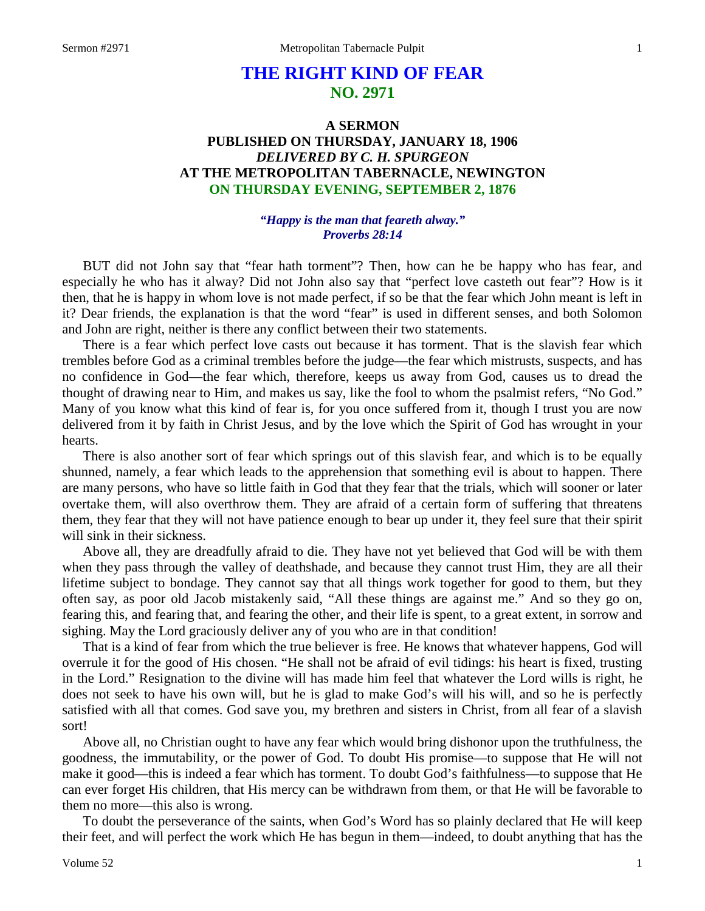# **THE RIGHT KIND OF FEAR NO. 2971**

## **A SERMON PUBLISHED ON THURSDAY, JANUARY 18, 1906** *DELIVERED BY C. H. SPURGEON* **AT THE METROPOLITAN TABERNACLE, NEWINGTON ON THURSDAY EVENING, SEPTEMBER 2, 1876**

### *"Happy is the man that feareth alway." Proverbs 28:14*

BUT did not John say that "fear hath torment"? Then, how can he be happy who has fear, and especially he who has it alway? Did not John also say that "perfect love casteth out fear"? How is it then, that he is happy in whom love is not made perfect, if so be that the fear which John meant is left in it? Dear friends, the explanation is that the word "fear" is used in different senses, and both Solomon and John are right, neither is there any conflict between their two statements.

There is a fear which perfect love casts out because it has torment. That is the slavish fear which trembles before God as a criminal trembles before the judge—the fear which mistrusts, suspects, and has no confidence in God—the fear which, therefore, keeps us away from God, causes us to dread the thought of drawing near to Him, and makes us say, like the fool to whom the psalmist refers, "No God." Many of you know what this kind of fear is, for you once suffered from it, though I trust you are now delivered from it by faith in Christ Jesus, and by the love which the Spirit of God has wrought in your hearts.

There is also another sort of fear which springs out of this slavish fear, and which is to be equally shunned, namely, a fear which leads to the apprehension that something evil is about to happen. There are many persons, who have so little faith in God that they fear that the trials, which will sooner or later overtake them, will also overthrow them. They are afraid of a certain form of suffering that threatens them, they fear that they will not have patience enough to bear up under it, they feel sure that their spirit will sink in their sickness.

Above all, they are dreadfully afraid to die. They have not yet believed that God will be with them when they pass through the valley of deathshade, and because they cannot trust Him, they are all their lifetime subject to bondage. They cannot say that all things work together for good to them, but they often say, as poor old Jacob mistakenly said, "All these things are against me." And so they go on, fearing this, and fearing that, and fearing the other, and their life is spent, to a great extent, in sorrow and sighing. May the Lord graciously deliver any of you who are in that condition!

That is a kind of fear from which the true believer is free. He knows that whatever happens, God will overrule it for the good of His chosen. "He shall not be afraid of evil tidings: his heart is fixed, trusting in the Lord." Resignation to the divine will has made him feel that whatever the Lord wills is right, he does not seek to have his own will, but he is glad to make God's will his will, and so he is perfectly satisfied with all that comes. God save you, my brethren and sisters in Christ, from all fear of a slavish sort!

Above all, no Christian ought to have any fear which would bring dishonor upon the truthfulness, the goodness, the immutability, or the power of God. To doubt His promise—to suppose that He will not make it good—this is indeed a fear which has torment. To doubt God's faithfulness—to suppose that He can ever forget His children, that His mercy can be withdrawn from them, or that He will be favorable to them no more—this also is wrong.

To doubt the perseverance of the saints, when God's Word has so plainly declared that He will keep their feet, and will perfect the work which He has begun in them—indeed, to doubt anything that has the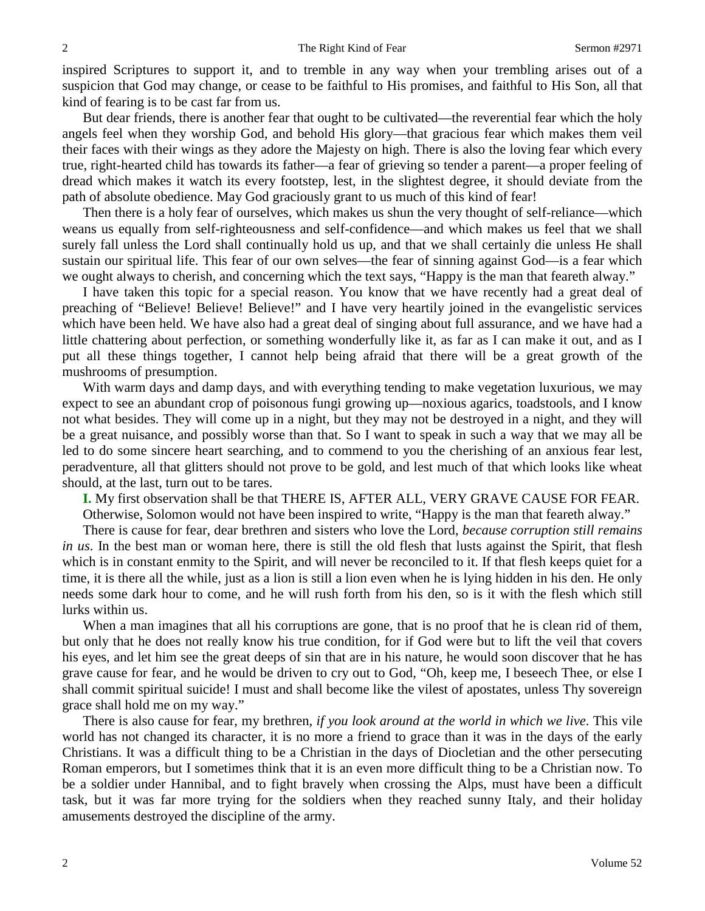inspired Scriptures to support it, and to tremble in any way when your trembling arises out of a suspicion that God may change, or cease to be faithful to His promises, and faithful to His Son, all that kind of fearing is to be cast far from us.

But dear friends, there is another fear that ought to be cultivated—the reverential fear which the holy angels feel when they worship God, and behold His glory—that gracious fear which makes them veil their faces with their wings as they adore the Majesty on high. There is also the loving fear which every true, right-hearted child has towards its father—a fear of grieving so tender a parent—a proper feeling of dread which makes it watch its every footstep, lest, in the slightest degree, it should deviate from the path of absolute obedience. May God graciously grant to us much of this kind of fear!

Then there is a holy fear of ourselves, which makes us shun the very thought of self-reliance—which weans us equally from self-righteousness and self-confidence—and which makes us feel that we shall surely fall unless the Lord shall continually hold us up, and that we shall certainly die unless He shall sustain our spiritual life. This fear of our own selves—the fear of sinning against God—is a fear which we ought always to cherish, and concerning which the text says, "Happy is the man that feareth alway."

I have taken this topic for a special reason. You know that we have recently had a great deal of preaching of "Believe! Believe! Believe!" and I have very heartily joined in the evangelistic services which have been held. We have also had a great deal of singing about full assurance, and we have had a little chattering about perfection, or something wonderfully like it, as far as I can make it out, and as I put all these things together, I cannot help being afraid that there will be a great growth of the mushrooms of presumption.

With warm days and damp days, and with everything tending to make vegetation luxurious, we may expect to see an abundant crop of poisonous fungi growing up—noxious agarics, toadstools, and I know not what besides. They will come up in a night, but they may not be destroyed in a night, and they will be a great nuisance, and possibly worse than that. So I want to speak in such a way that we may all be led to do some sincere heart searching, and to commend to you the cherishing of an anxious fear lest, peradventure, all that glitters should not prove to be gold, and lest much of that which looks like wheat should, at the last, turn out to be tares.

**I.** My first observation shall be that THERE IS, AFTER ALL, VERY GRAVE CAUSE FOR FEAR.

Otherwise, Solomon would not have been inspired to write, "Happy is the man that feareth alway."

There is cause for fear, dear brethren and sisters who love the Lord, *because corruption still remains in us*. In the best man or woman here, there is still the old flesh that lusts against the Spirit, that flesh which is in constant enmity to the Spirit, and will never be reconciled to it. If that flesh keeps quiet for a time, it is there all the while, just as a lion is still a lion even when he is lying hidden in his den. He only needs some dark hour to come, and he will rush forth from his den, so is it with the flesh which still lurks within us.

When a man imagines that all his corruptions are gone, that is no proof that he is clean rid of them, but only that he does not really know his true condition, for if God were but to lift the veil that covers his eyes, and let him see the great deeps of sin that are in his nature, he would soon discover that he has grave cause for fear, and he would be driven to cry out to God, "Oh, keep me, I beseech Thee, or else I shall commit spiritual suicide! I must and shall become like the vilest of apostates, unless Thy sovereign grace shall hold me on my way."

There is also cause for fear, my brethren, *if you look around at the world in which we live*. This vile world has not changed its character, it is no more a friend to grace than it was in the days of the early Christians. It was a difficult thing to be a Christian in the days of Diocletian and the other persecuting Roman emperors, but I sometimes think that it is an even more difficult thing to be a Christian now. To be a soldier under Hannibal, and to fight bravely when crossing the Alps, must have been a difficult task, but it was far more trying for the soldiers when they reached sunny Italy, and their holiday amusements destroyed the discipline of the army.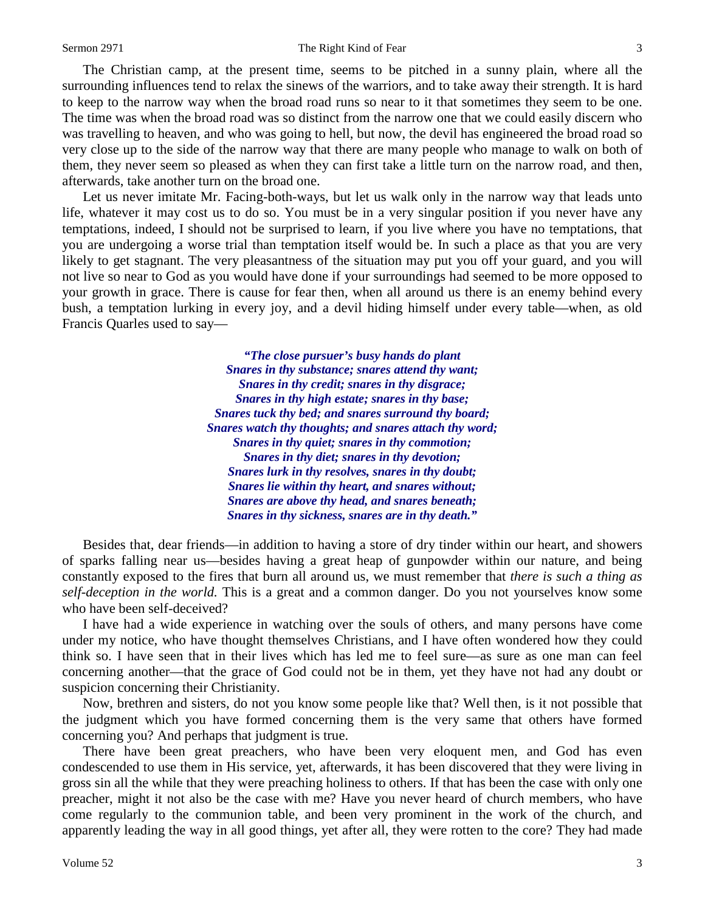The Christian camp, at the present time, seems to be pitched in a sunny plain, where all the surrounding influences tend to relax the sinews of the warriors, and to take away their strength. It is hard to keep to the narrow way when the broad road runs so near to it that sometimes they seem to be one. The time was when the broad road was so distinct from the narrow one that we could easily discern who was travelling to heaven, and who was going to hell, but now, the devil has engineered the broad road so very close up to the side of the narrow way that there are many people who manage to walk on both of them, they never seem so pleased as when they can first take a little turn on the narrow road, and then, afterwards, take another turn on the broad one.

Let us never imitate Mr. Facing-both-ways, but let us walk only in the narrow way that leads unto life, whatever it may cost us to do so. You must be in a very singular position if you never have any temptations, indeed, I should not be surprised to learn, if you live where you have no temptations, that you are undergoing a worse trial than temptation itself would be. In such a place as that you are very likely to get stagnant. The very pleasantness of the situation may put you off your guard, and you will not live so near to God as you would have done if your surroundings had seemed to be more opposed to your growth in grace. There is cause for fear then, when all around us there is an enemy behind every bush, a temptation lurking in every joy, and a devil hiding himself under every table—when, as old Francis Quarles used to say—

> *"The close pursuer's busy hands do plant Snares in thy substance; snares attend thy want; Snares in thy credit; snares in thy disgrace; Snares in thy high estate; snares in thy base; Snares tuck thy bed; and snares surround thy board; Snares watch thy thoughts; and snares attach thy word; Snares in thy quiet; snares in thy commotion; Snares in thy diet; snares in thy devotion; Snares lurk in thy resolves, snares in thy doubt; Snares lie within thy heart, and snares without; Snares are above thy head, and snares beneath; Snares in thy sickness, snares are in thy death."*

Besides that, dear friends—in addition to having a store of dry tinder within our heart, and showers of sparks falling near us—besides having a great heap of gunpowder within our nature, and being constantly exposed to the fires that burn all around us, we must remember that *there is such a thing as self-deception in the world.* This is a great and a common danger. Do you not yourselves know some who have been self-deceived?

I have had a wide experience in watching over the souls of others, and many persons have come under my notice, who have thought themselves Christians, and I have often wondered how they could think so. I have seen that in their lives which has led me to feel sure—as sure as one man can feel concerning another—that the grace of God could not be in them, yet they have not had any doubt or suspicion concerning their Christianity.

Now, brethren and sisters, do not you know some people like that? Well then, is it not possible that the judgment which you have formed concerning them is the very same that others have formed concerning you? And perhaps that judgment is true.

There have been great preachers, who have been very eloquent men, and God has even condescended to use them in His service, yet, afterwards, it has been discovered that they were living in gross sin all the while that they were preaching holiness to others. If that has been the case with only one preacher, might it not also be the case with me? Have you never heard of church members, who have come regularly to the communion table, and been very prominent in the work of the church, and apparently leading the way in all good things, yet after all, they were rotten to the core? They had made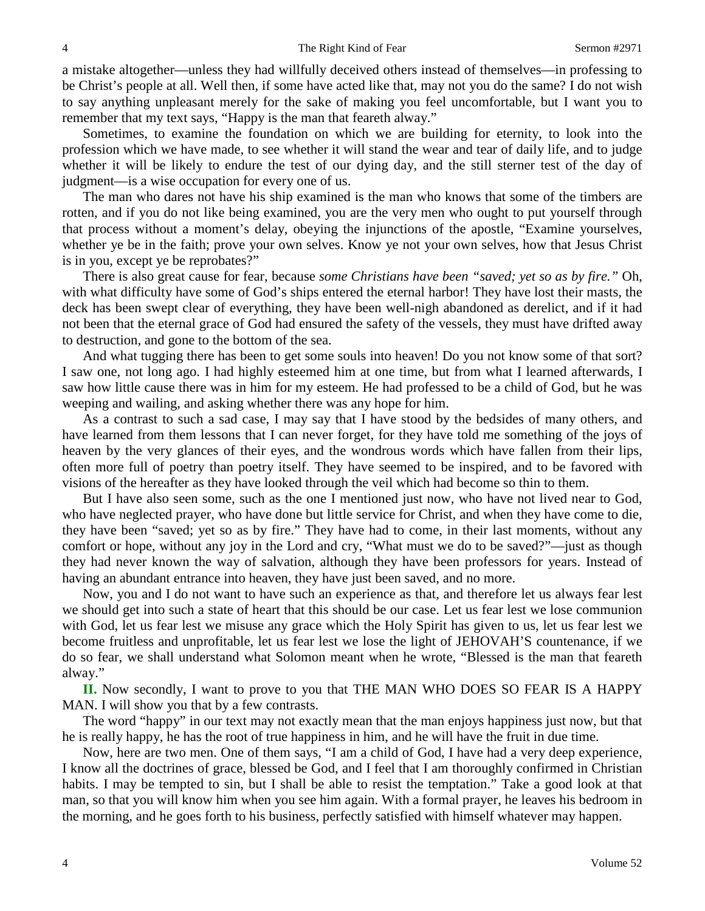a mistake altogether—unless they had willfully deceived others instead of themselves—in professing to be Christ's people at all. Well then, if some have acted like that, may not you do the same? I do not wish to say anything unpleasant merely for the sake of making you feel uncomfortable, but I want you to remember that my text says, "Happy is the man that feareth alway."

Sometimes, to examine the foundation on which we are building for eternity, to look into the profession which we have made, to see whether it will stand the wear and tear of daily life, and to judge whether it will be likely to endure the test of our dying day, and the still sterner test of the day of judgment—is a wise occupation for every one of us.

The man who dares not have his ship examined is the man who knows that some of the timbers are rotten, and if you do not like being examined, you are the very men who ought to put yourself through that process without a moment's delay, obeying the injunctions of the apostle, "Examine yourselves, whether ye be in the faith; prove your own selves. Know ye not your own selves, how that Jesus Christ is in you, except ye be reprobates?"

There is also great cause for fear, because *some Christians have been "saved; yet so as by fire."* Oh, with what difficulty have some of God's ships entered the eternal harbor! They have lost their masts, the deck has been swept clear of everything, they have been well-nigh abandoned as derelict, and if it had not been that the eternal grace of God had ensured the safety of the vessels, they must have drifted away to destruction, and gone to the bottom of the sea.

And what tugging there has been to get some souls into heaven! Do you not know some of that sort? I saw one, not long ago. I had highly esteemed him at one time, but from what I learned afterwards, I saw how little cause there was in him for my esteem. He had professed to be a child of God, but he was weeping and wailing, and asking whether there was any hope for him.

As a contrast to such a sad case, I may say that I have stood by the bedsides of many others, and have learned from them lessons that I can never forget, for they have told me something of the joys of heaven by the very glances of their eyes, and the wondrous words which have fallen from their lips, often more full of poetry than poetry itself. They have seemed to be inspired, and to be favored with visions of the hereafter as they have looked through the veil which had become so thin to them.

But I have also seen some, such as the one I mentioned just now, who have not lived near to God, who have neglected prayer, who have done but little service for Christ, and when they have come to die, they have been "saved; yet so as by fire." They have had to come, in their last moments, without any comfort or hope, without any joy in the Lord and cry, "What must we do to be saved?"—just as though they had never known the way of salvation, although they have been professors for years. Instead of having an abundant entrance into heaven, they have just been saved, and no more.

Now, you and I do not want to have such an experience as that, and therefore let us always fear lest we should get into such a state of heart that this should be our case. Let us fear lest we lose communion with God, let us fear lest we misuse any grace which the Holy Spirit has given to us, let us fear lest we become fruitless and unprofitable, let us fear lest we lose the light of JEHOVAH'S countenance, if we do so fear, we shall understand what Solomon meant when he wrote, "Blessed is the man that feareth alway."

**II.** Now secondly, I want to prove to you that THE MAN WHO DOES SO FEAR IS A HAPPY MAN. I will show you that by a few contrasts.

The word "happy" in our text may not exactly mean that the man enjoys happiness just now, but that he is really happy, he has the root of true happiness in him, and he will have the fruit in due time.

Now, here are two men. One of them says, "I am a child of God, I have had a very deep experience, I know all the doctrines of grace, blessed be God, and I feel that I am thoroughly confirmed in Christian habits. I may be tempted to sin, but I shall be able to resist the temptation." Take a good look at that man, so that you will know him when you see him again. With a formal prayer, he leaves his bedroom in the morning, and he goes forth to his business, perfectly satisfied with himself whatever may happen.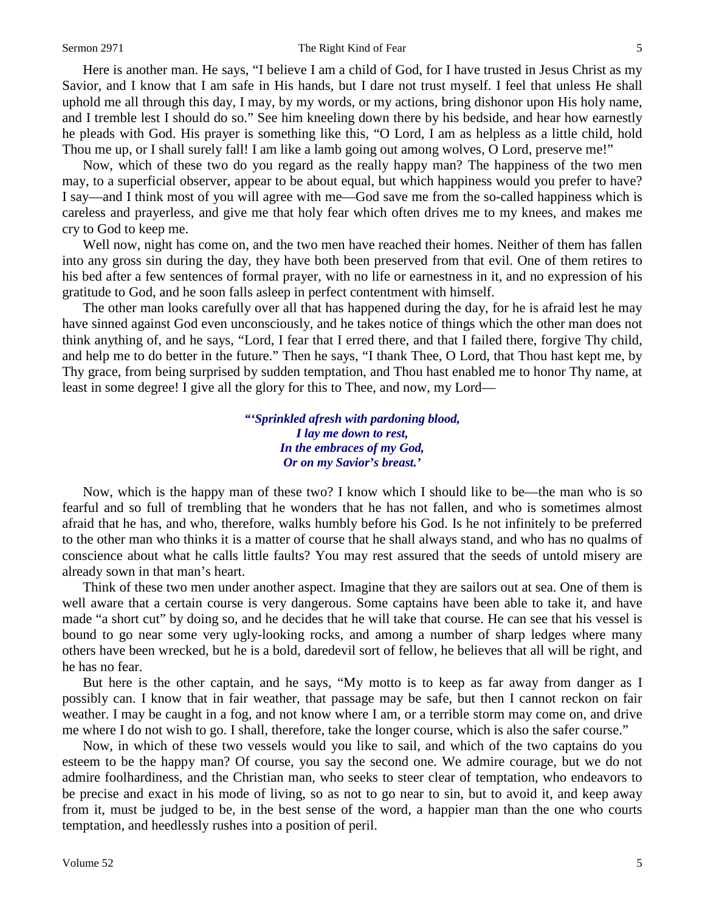Here is another man. He says, "I believe I am a child of God, for I have trusted in Jesus Christ as my Savior, and I know that I am safe in His hands, but I dare not trust myself. I feel that unless He shall uphold me all through this day, I may, by my words, or my actions, bring dishonor upon His holy name, and I tremble lest I should do so." See him kneeling down there by his bedside, and hear how earnestly he pleads with God. His prayer is something like this, "O Lord, I am as helpless as a little child, hold Thou me up, or I shall surely fall! I am like a lamb going out among wolves, O Lord, preserve me!"

Now, which of these two do you regard as the really happy man? The happiness of the two men may, to a superficial observer, appear to be about equal, but which happiness would you prefer to have? I say—and I think most of you will agree with me—God save me from the so-called happiness which is careless and prayerless, and give me that holy fear which often drives me to my knees, and makes me cry to God to keep me.

Well now, night has come on, and the two men have reached their homes. Neither of them has fallen into any gross sin during the day, they have both been preserved from that evil. One of them retires to his bed after a few sentences of formal prayer, with no life or earnestness in it, and no expression of his gratitude to God, and he soon falls asleep in perfect contentment with himself.

The other man looks carefully over all that has happened during the day, for he is afraid lest he may have sinned against God even unconsciously, and he takes notice of things which the other man does not think anything of, and he says, "Lord, I fear that I erred there, and that I failed there, forgive Thy child, and help me to do better in the future." Then he says, "I thank Thee, O Lord, that Thou hast kept me, by Thy grace, from being surprised by sudden temptation, and Thou hast enabled me to honor Thy name, at least in some degree! I give all the glory for this to Thee, and now, my Lord—

> *"'Sprinkled afresh with pardoning blood, I lay me down to rest, In the embraces of my God, Or on my Savior's breast.'*

Now, which is the happy man of these two? I know which I should like to be—the man who is so fearful and so full of trembling that he wonders that he has not fallen, and who is sometimes almost afraid that he has, and who, therefore, walks humbly before his God. Is he not infinitely to be preferred to the other man who thinks it is a matter of course that he shall always stand, and who has no qualms of conscience about what he calls little faults? You may rest assured that the seeds of untold misery are already sown in that man's heart.

Think of these two men under another aspect. Imagine that they are sailors out at sea. One of them is well aware that a certain course is very dangerous. Some captains have been able to take it, and have made "a short cut" by doing so, and he decides that he will take that course. He can see that his vessel is bound to go near some very ugly-looking rocks, and among a number of sharp ledges where many others have been wrecked, but he is a bold, daredevil sort of fellow, he believes that all will be right, and he has no fear.

But here is the other captain, and he says, "My motto is to keep as far away from danger as I possibly can. I know that in fair weather, that passage may be safe, but then I cannot reckon on fair weather. I may be caught in a fog, and not know where I am, or a terrible storm may come on, and drive me where I do not wish to go. I shall, therefore, take the longer course, which is also the safer course."

Now, in which of these two vessels would you like to sail, and which of the two captains do you esteem to be the happy man? Of course, you say the second one. We admire courage, but we do not admire foolhardiness, and the Christian man, who seeks to steer clear of temptation, who endeavors to be precise and exact in his mode of living, so as not to go near to sin, but to avoid it, and keep away from it, must be judged to be, in the best sense of the word, a happier man than the one who courts temptation, and heedlessly rushes into a position of peril.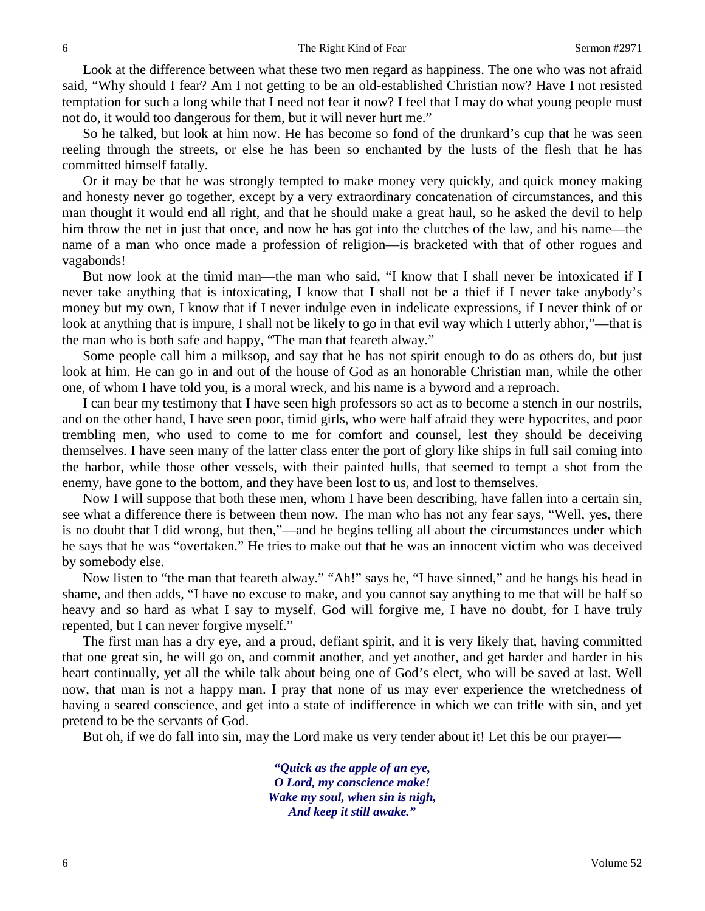Look at the difference between what these two men regard as happiness. The one who was not afraid said, "Why should I fear? Am I not getting to be an old-established Christian now? Have I not resisted temptation for such a long while that I need not fear it now? I feel that I may do what young people must not do, it would too dangerous for them, but it will never hurt me."

So he talked, but look at him now. He has become so fond of the drunkard's cup that he was seen reeling through the streets, or else he has been so enchanted by the lusts of the flesh that he has committed himself fatally.

Or it may be that he was strongly tempted to make money very quickly, and quick money making and honesty never go together, except by a very extraordinary concatenation of circumstances, and this man thought it would end all right, and that he should make a great haul, so he asked the devil to help him throw the net in just that once, and now he has got into the clutches of the law, and his name—the name of a man who once made a profession of religion—is bracketed with that of other rogues and vagabonds!

But now look at the timid man—the man who said, "I know that I shall never be intoxicated if I never take anything that is intoxicating, I know that I shall not be a thief if I never take anybody's money but my own, I know that if I never indulge even in indelicate expressions, if I never think of or look at anything that is impure, I shall not be likely to go in that evil way which I utterly abhor,"—that is the man who is both safe and happy, "The man that feareth alway."

Some people call him a milksop, and say that he has not spirit enough to do as others do, but just look at him. He can go in and out of the house of God as an honorable Christian man, while the other one, of whom I have told you, is a moral wreck, and his name is a byword and a reproach.

I can bear my testimony that I have seen high professors so act as to become a stench in our nostrils, and on the other hand, I have seen poor, timid girls, who were half afraid they were hypocrites, and poor trembling men, who used to come to me for comfort and counsel, lest they should be deceiving themselves. I have seen many of the latter class enter the port of glory like ships in full sail coming into the harbor, while those other vessels, with their painted hulls, that seemed to tempt a shot from the enemy, have gone to the bottom, and they have been lost to us, and lost to themselves.

Now I will suppose that both these men, whom I have been describing, have fallen into a certain sin, see what a difference there is between them now. The man who has not any fear says, "Well, yes, there is no doubt that I did wrong, but then,"—and he begins telling all about the circumstances under which he says that he was "overtaken." He tries to make out that he was an innocent victim who was deceived by somebody else.

Now listen to "the man that feareth alway." "Ah!" says he, "I have sinned," and he hangs his head in shame, and then adds, "I have no excuse to make, and you cannot say anything to me that will be half so heavy and so hard as what I say to myself. God will forgive me, I have no doubt, for I have truly repented, but I can never forgive myself."

The first man has a dry eye, and a proud, defiant spirit, and it is very likely that, having committed that one great sin, he will go on, and commit another, and yet another, and get harder and harder in his heart continually, yet all the while talk about being one of God's elect, who will be saved at last. Well now, that man is not a happy man. I pray that none of us may ever experience the wretchedness of having a seared conscience, and get into a state of indifference in which we can trifle with sin, and yet pretend to be the servants of God.

But oh, if we do fall into sin, may the Lord make us very tender about it! Let this be our prayer—

*"Quick as the apple of an eye, O Lord, my conscience make! Wake my soul, when sin is nigh, And keep it still awake."*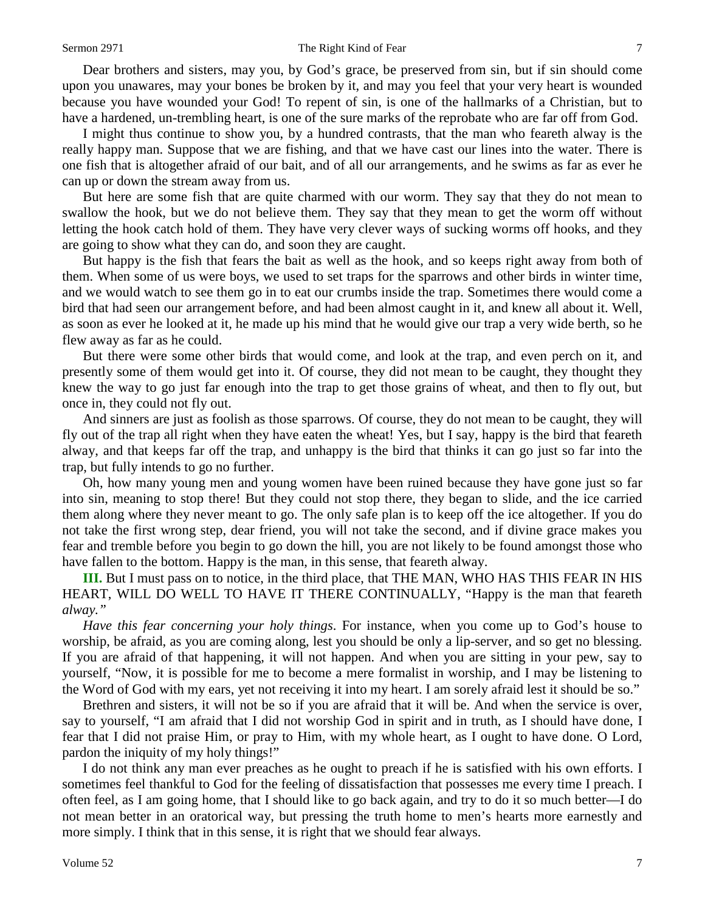Dear brothers and sisters, may you, by God's grace, be preserved from sin, but if sin should come upon you unawares, may your bones be broken by it, and may you feel that your very heart is wounded because you have wounded your God! To repent of sin, is one of the hallmarks of a Christian, but to have a hardened, un-trembling heart, is one of the sure marks of the reprobate who are far off from God.

I might thus continue to show you, by a hundred contrasts, that the man who feareth alway is the really happy man. Suppose that we are fishing, and that we have cast our lines into the water. There is one fish that is altogether afraid of our bait, and of all our arrangements, and he swims as far as ever he can up or down the stream away from us.

But here are some fish that are quite charmed with our worm. They say that they do not mean to swallow the hook, but we do not believe them. They say that they mean to get the worm off without letting the hook catch hold of them. They have very clever ways of sucking worms off hooks, and they are going to show what they can do, and soon they are caught.

But happy is the fish that fears the bait as well as the hook, and so keeps right away from both of them. When some of us were boys, we used to set traps for the sparrows and other birds in winter time, and we would watch to see them go in to eat our crumbs inside the trap. Sometimes there would come a bird that had seen our arrangement before, and had been almost caught in it, and knew all about it. Well, as soon as ever he looked at it, he made up his mind that he would give our trap a very wide berth, so he flew away as far as he could.

But there were some other birds that would come, and look at the trap, and even perch on it, and presently some of them would get into it. Of course, they did not mean to be caught, they thought they knew the way to go just far enough into the trap to get those grains of wheat, and then to fly out, but once in, they could not fly out.

And sinners are just as foolish as those sparrows. Of course, they do not mean to be caught, they will fly out of the trap all right when they have eaten the wheat! Yes, but I say, happy is the bird that feareth alway, and that keeps far off the trap, and unhappy is the bird that thinks it can go just so far into the trap, but fully intends to go no further.

Oh, how many young men and young women have been ruined because they have gone just so far into sin, meaning to stop there! But they could not stop there, they began to slide, and the ice carried them along where they never meant to go. The only safe plan is to keep off the ice altogether. If you do not take the first wrong step, dear friend, you will not take the second, and if divine grace makes you fear and tremble before you begin to go down the hill, you are not likely to be found amongst those who have fallen to the bottom. Happy is the man, in this sense, that feareth alway.

**III.** But I must pass on to notice, in the third place, that THE MAN, WHO HAS THIS FEAR IN HIS HEART, WILL DO WELL TO HAVE IT THERE CONTINUALLY, "Happy is the man that feareth *alway."*

*Have this fear concerning your holy things*. For instance, when you come up to God's house to worship, be afraid, as you are coming along, lest you should be only a lip-server, and so get no blessing. If you are afraid of that happening, it will not happen. And when you are sitting in your pew, say to yourself, "Now, it is possible for me to become a mere formalist in worship, and I may be listening to the Word of God with my ears, yet not receiving it into my heart. I am sorely afraid lest it should be so."

Brethren and sisters, it will not be so if you are afraid that it will be. And when the service is over, say to yourself, "I am afraid that I did not worship God in spirit and in truth, as I should have done, I fear that I did not praise Him, or pray to Him, with my whole heart, as I ought to have done. O Lord, pardon the iniquity of my holy things!"

I do not think any man ever preaches as he ought to preach if he is satisfied with his own efforts. I sometimes feel thankful to God for the feeling of dissatisfaction that possesses me every time I preach. I often feel, as I am going home, that I should like to go back again, and try to do it so much better—I do not mean better in an oratorical way, but pressing the truth home to men's hearts more earnestly and more simply. I think that in this sense, it is right that we should fear always.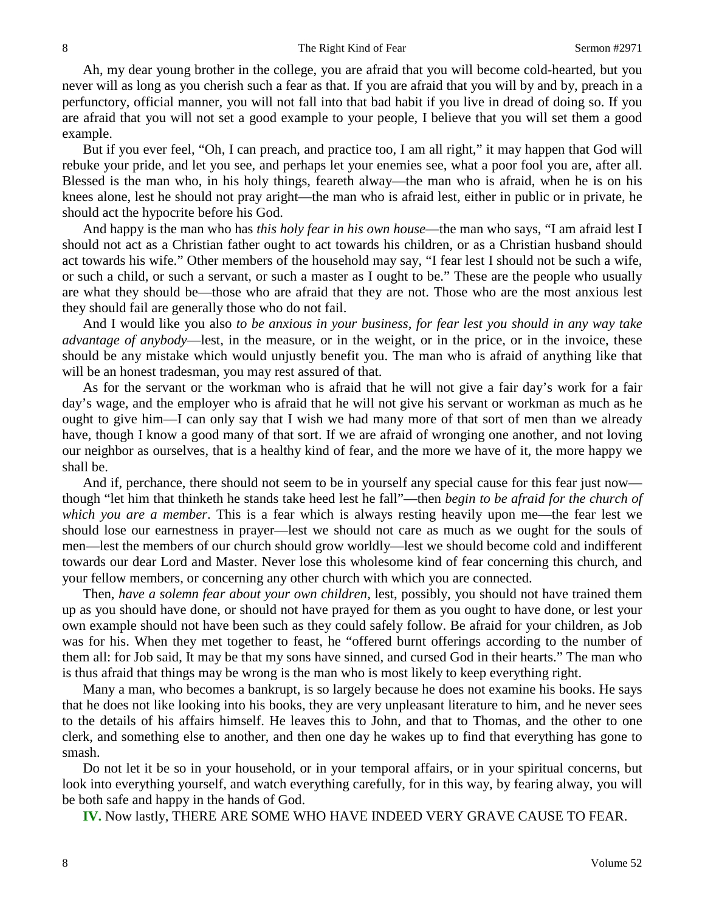Ah, my dear young brother in the college, you are afraid that you will become cold-hearted, but you never will as long as you cherish such a fear as that. If you are afraid that you will by and by, preach in a perfunctory, official manner, you will not fall into that bad habit if you live in dread of doing so. If you are afraid that you will not set a good example to your people, I believe that you will set them a good example.

But if you ever feel, "Oh, I can preach, and practice too, I am all right," it may happen that God will rebuke your pride, and let you see, and perhaps let your enemies see, what a poor fool you are, after all. Blessed is the man who, in his holy things, feareth alway—the man who is afraid, when he is on his knees alone, lest he should not pray aright—the man who is afraid lest, either in public or in private, he should act the hypocrite before his God.

And happy is the man who has *this holy fear in his own house*—the man who says, "I am afraid lest I should not act as a Christian father ought to act towards his children, or as a Christian husband should act towards his wife." Other members of the household may say, "I fear lest I should not be such a wife, or such a child, or such a servant, or such a master as I ought to be." These are the people who usually are what they should be—those who are afraid that they are not. Those who are the most anxious lest they should fail are generally those who do not fail.

And I would like you also *to be anxious in your business, for fear lest you should in any way take advantage of anybody*—lest, in the measure, or in the weight, or in the price, or in the invoice, these should be any mistake which would unjustly benefit you. The man who is afraid of anything like that will be an honest tradesman, you may rest assured of that.

As for the servant or the workman who is afraid that he will not give a fair day's work for a fair day's wage, and the employer who is afraid that he will not give his servant or workman as much as he ought to give him—I can only say that I wish we had many more of that sort of men than we already have, though I know a good many of that sort. If we are afraid of wronging one another, and not loving our neighbor as ourselves, that is a healthy kind of fear, and the more we have of it, the more happy we shall be.

And if, perchance, there should not seem to be in yourself any special cause for this fear just now though "let him that thinketh he stands take heed lest he fall"—then *begin to be afraid for the church of which you are a member*. This is a fear which is always resting heavily upon me—the fear lest we should lose our earnestness in prayer—lest we should not care as much as we ought for the souls of men—lest the members of our church should grow worldly—lest we should become cold and indifferent towards our dear Lord and Master. Never lose this wholesome kind of fear concerning this church, and your fellow members, or concerning any other church with which you are connected.

Then, *have a solemn fear about your own children,* lest, possibly, you should not have trained them up as you should have done, or should not have prayed for them as you ought to have done, or lest your own example should not have been such as they could safely follow. Be afraid for your children, as Job was for his. When they met together to feast, he "offered burnt offerings according to the number of them all: for Job said, It may be that my sons have sinned, and cursed God in their hearts." The man who is thus afraid that things may be wrong is the man who is most likely to keep everything right.

Many a man, who becomes a bankrupt, is so largely because he does not examine his books. He says that he does not like looking into his books, they are very unpleasant literature to him, and he never sees to the details of his affairs himself. He leaves this to John, and that to Thomas, and the other to one clerk, and something else to another, and then one day he wakes up to find that everything has gone to smash.

Do not let it be so in your household, or in your temporal affairs, or in your spiritual concerns, but look into everything yourself, and watch everything carefully, for in this way, by fearing alway, you will be both safe and happy in the hands of God.

**IV.** Now lastly, THERE ARE SOME WHO HAVE INDEED VERY GRAVE CAUSE TO FEAR.